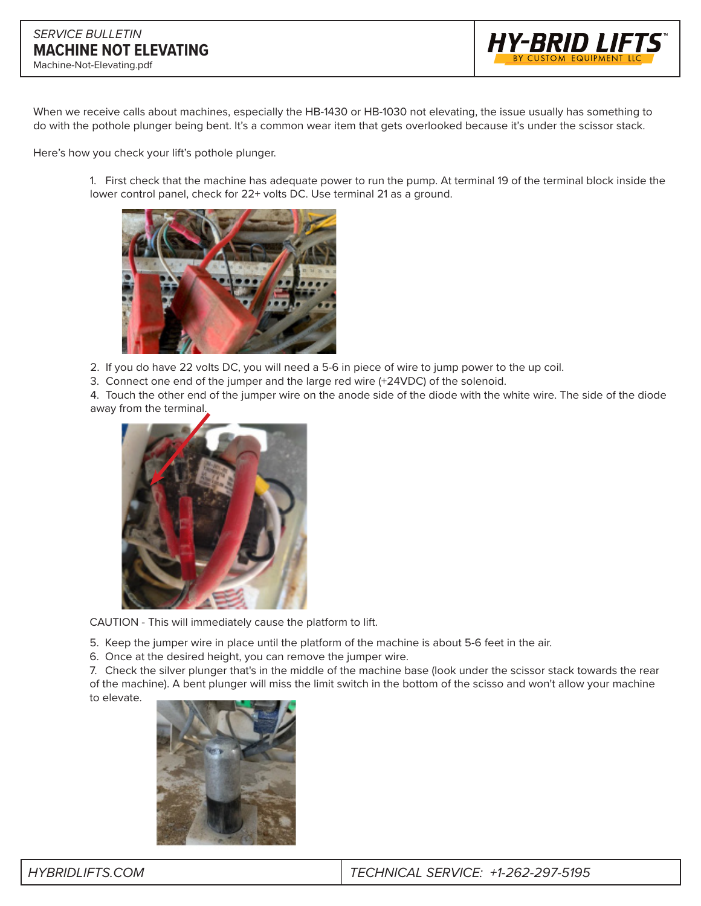

When we receive calls about machines, especially the HB-1430 or HB-1030 not elevating, the issue usually has something to do with the pothole plunger being bent. It's a common wear item that gets overlooked because it's under the scissor stack.

Here's how you check your lift's pothole plunger.

1. First check that the machine has adequate power to run the pump. At terminal 19 of the terminal block inside the lower control panel, check for 22+ volts DC. Use terminal 21 as a ground.



2. If you do have 22 volts DC, you will need a 5-6 in piece of wire to jump power to the up coil.

3. Connect one end of the jumper and the large red wire (+24VDC) of the solenoid.

4. Touch the other end of the jumper wire on the anode side of the diode with the white wire. The side of the diode away from the terminal.



CAUTION - This will immediately cause the platform to lift.

- 5. Keep the jumper wire in place until the platform of the machine is about 5-6 feet in the air.
- 6. Once at the desired height, you can remove the jumper wire.

7. Check the silver plunger that's in the middle of the machine base (look under the scissor stack towards the rear of the machine). A bent plunger will miss the limit switch in the bottom of the scisso and won't allow your machine to elevate.